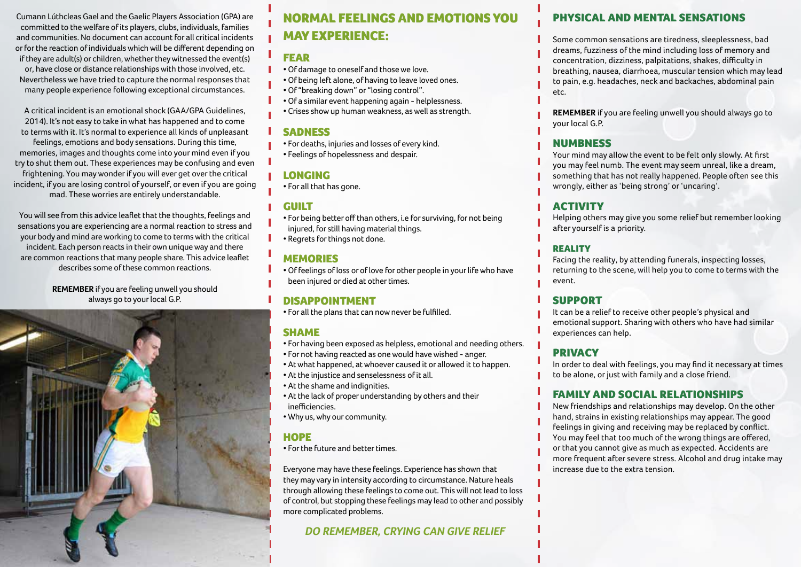Cumann Lúthcleas Gael and the Gaelic Players Association (GPA) are committed to the welfare of its players, clubs, individuals, families and communities. No document can account for all critical incidents or for the reaction of individuals which will be different depending on if they are adult(s) or children, whether they witnessed the event(s) or, have close or distance relationships with those involved, etc. Nevertheless we have tried to capture the normal responses that many people experience following exceptional circumstances.

A critical incident is an emotional shock (GAA/GPA Guidelines, 2014). It's not easy to take in what has happened and to come to terms with it. It's normal to experience all kinds of unpleasant feelings, emotions and body sensations. During this time, memories, images and thoughts come into your mind even if you try to shut them out. These experiences may be confusing and even frightening. You may wonder if you will ever get over the critical incident, if you are losing control of yourself, or even if you are going mad. These worries are entirely understandable.

You will see from this advice leaflet that the thoughts, feelings and sensations you are experiencing are a normal reaction to stress and your body and mind are working to come to terms with the critical incident. Each person reacts in their own unique way and there are common reactions that many people share. This advice leaflet describes some of these common reactions.

> **REMEMBER** if you are feeling unwell you should always go to your local G.P.



# Normal feelings and emotions you may experience:

#### **FEAR**

- Of damage to oneself and those we love.
- Of being left alone, of having to leave loved ones.
- Of "breaking down" or "losing control".
- Of a similar event happening again helplessness.
- Crises show up human weakness, as well as strength.

#### **SADNESS**

• For deaths, injuries and losses of every kind. • Feelings of hopelessness and despair.

### longing

• For all that has gone.

### **GUILT**

- For being better off than others, i.e for surviving, for not being injured, for still having material things.
- Regrets for things not done.

## **MEMORIES**

• Of feelings of loss or of love for other people in your life who have been injured or died at other times.

## disappointment

• For all the plans that can now never be fulfilled.

# **SHAME**

- For having been exposed as helpless, emotional and needing others.
- For not having reacted as one would have wished anger.
- At what happened, at whoever caused it or allowed it to happen.
- At the injustice and senselessness of it all.
- At the shame and indignities.
- At the lack of proper understanding by others and their inefficiencies.
- Why us, why our community.

#### **HOPE**

• For the future and better times.

Everyone may have these feelings. Experience has shown that they may vary in intensity according to circumstance. Nature heals through allowing these feelings to come out. This will not lead to loss of control, but stopping these feelings may lead to other and possibly more complicated problems.

## **do remember, crying can give relief**

# physical and mental sensations

Some common sensations are tiredness, sleeplessness, bad dreams, fuzziness of the mind including loss of memory and concentration, dizziness, palpitations, shakes, difficulty in breathing, nausea, diarrhoea, muscular tension which may lead to pain, e.g. headaches, neck and backaches, abdominal pain etc.

**REMEMBER** if you are feeling unwell you should always go to your local G.P.

#### **NUMBNESS**

Your mind may allow the event to be felt only slowly. At first you may feel numb. The event may seem unreal, like a dream, something that has not really happened. People often see this wrongly, either as 'being strong' or 'uncaring'.

# **ACTIVITY**

Helping others may give you some relief but remember looking after yourself is a priority.

#### **REALITY**

Facing the reality, by attending funerals, inspecting losses, returning to the scene, will help you to come to terms with the event.

## support

It can be a relief to receive other people's physical and emotional support. Sharing with others who have had similar experiences can help.

## privacy

In order to deal with feelings, you may find it necessary at times to be alone, or just with family and a close friend.

## family and social relationships

New friendships and relationships may develop. On the other hand, strains in existing relationships may appear. The good feelings in giving and receiving may be replaced by conflict. You may feel that too much of the wrong things are offered, or that you cannot give as much as expected. Accidents are more frequent after severe stress. Alcohol and drug intake may increase due to the extra tension.